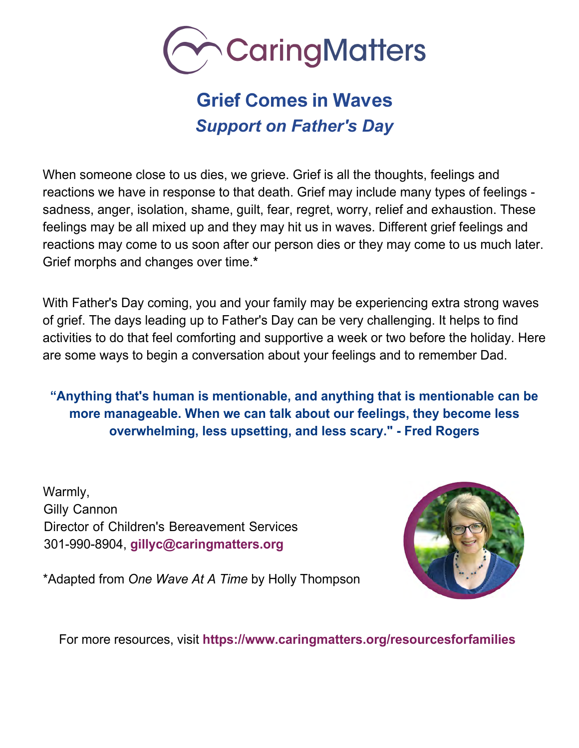

# **Grief Comes in Waves**  *Support on Father's Day*

When someone close to us dies, we grieve. Grief is all the thoughts, feelings and reactions we have in response to that death. Grief may include many types of feelings sadness, anger, isolation, shame, guilt, fear, regret, worry, relief and exhaustion. These feelings may be all mixed up and they may hit us in waves. Different grief feelings and reactions may come to us soon after our person dies or they may come to us much later. Grief morphs and changes over time.**\***

With Father's Day coming, you and your family may be experiencing extra strong waves of grief. The da[ys leading up to Father's Day ca](mailto:gillyc@caringmatters.org)n be very challenging. It helps to find activities to do that feel comforting and supportive a week or two before the holiday. Here are some ways to begin a conversation about your feelings and to remember Dad.

**"Anything that's human is mentionable, and anything that is mentionable can be more manageable. When we can talk about our feelings, they become less overwhelming, less upsetting, and less scary." - Fred Rogers**

Warmly, Gilly Cannon Director of Children's Bereavement Services 301-990-8904, **[gillyc@caringmatters.org](mailto:gillyc@caringmatters.org)**



\*Adapted from *One Wave At A Time* by Holly Thompson

For more resources, visit **<https://www.caringmatters.org/resourcesforfamilies>**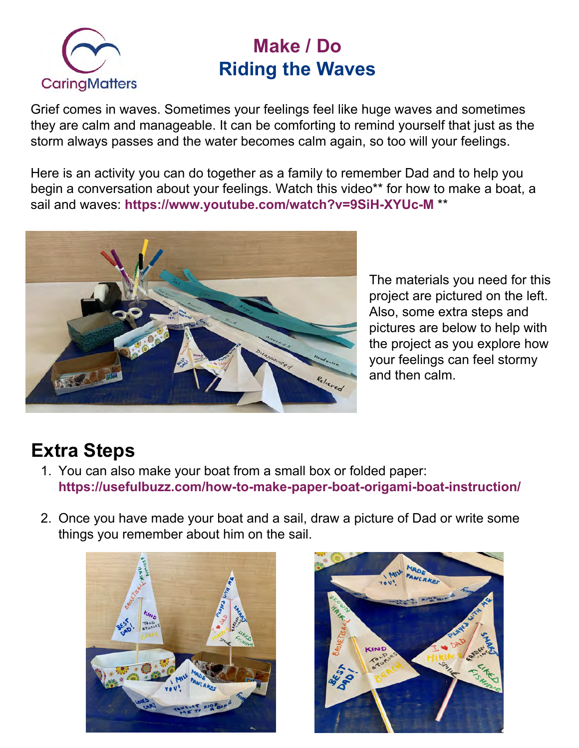

## **Make / Do Riding the Waves**

Grief comes in waves. Sometimes your feelings feel like huge waves and sometimes they are calm and manageable. It can be comforting to remind yourself that just as the storm always passes and the water becomes calm again, so too will your feelings.

Here is an activity you can do together as a family to remember Dad and to help you begin a conversation about your feelings. Watch this video\*\* for how to make a boat, a sail and waves: **<https://www.youtube.com/watch?v=9SiH-XYUc-M>** \*\*



The materials you need for this project are pictured on the left. Also, some extra steps and pictures are below to help with the project as you explore how your feelings can feel stormy and then calm.

# **Extra Steps**

- 1. You can also make your boat from a small box or folded paper: **<https://usefulbuzz.com/how-to-make-paper-boat-origami-boat-instruction/>**
- 2. Once you have made your boat and a sail, draw a picture of Dad or write some things you remember about him on the sail.



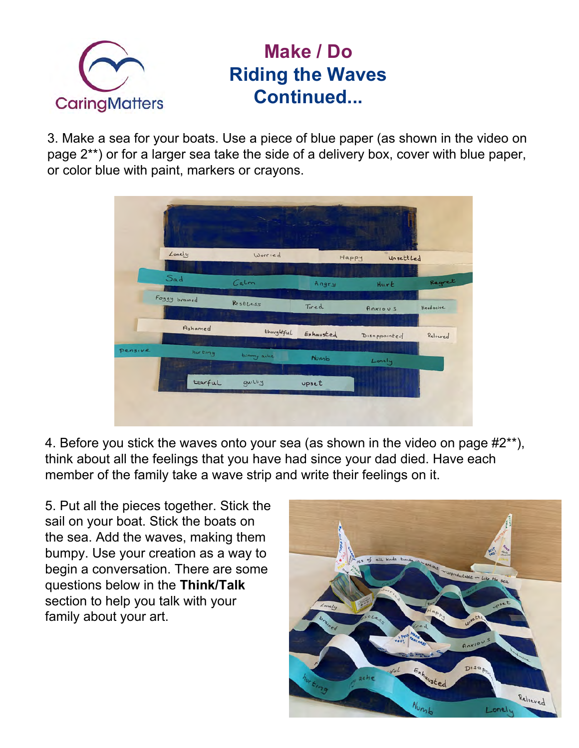

### **Make / Do Riding the Waves Continued...**

3. Make a sea for your boats. Use a piece of blue paper (as shown in the video on page 2\*\*) or for a larger sea take the side of a delivery box, cover with blue paper, or color blue with paint, markers or crayons.

|         |                                       | <b>Contract Contract Contract Contract Contract Contract Contract Contract Contract Contract Contract Contract Contract Contract Contract Contract Contract Contract Contract Contract Contract Contract Contract Contract Contr</b> | $-12$ ( $-2$ $-5$ ) $-$ |                    |          |
|---------|---------------------------------------|--------------------------------------------------------------------------------------------------------------------------------------------------------------------------------------------------------------------------------------|-------------------------|--------------------|----------|
|         | Lonely                                | Worried                                                                                                                                                                                                                              | Happy<br>Unsettled      |                    |          |
|         |                                       |                                                                                                                                                                                                                                      |                         |                    |          |
|         | Sad                                   | C <sub>a</sub>                                                                                                                                                                                                                       | Angry                   | Hurt               | Regret   |
|         | Foggy brained<br><b>SATISFIED AND</b> | RestLess                                                                                                                                                                                                                             | Tired                   | Anxious            | Headache |
|         | Ashamed                               | thoughtful                                                                                                                                                                                                                           | Exhausted               | ×.<br>Disappointed | Relieved |
| Pensive | hurting                               | tummy ache<br><b>STERN</b>                                                                                                                                                                                                           | <b>Numb</b>             | Lonely             |          |
|         | tearful                               | guilty                                                                                                                                                                                                                               | upset                   |                    |          |

4. Before you stick the waves onto your sea (as shown in the video on page #2\*\*), think about all the feelings that you have had since your dad died. Have each member of the family take a wave strip and write their feelings on it.

5. Put all the pieces together. Stick the sail on your boat. Stick the boats on the sea. Add the waves, making them bumpy. Use your creation as a way to begin a conversation. There are some questions below in the **Think/Talk** section to help you talk with your family about your art.

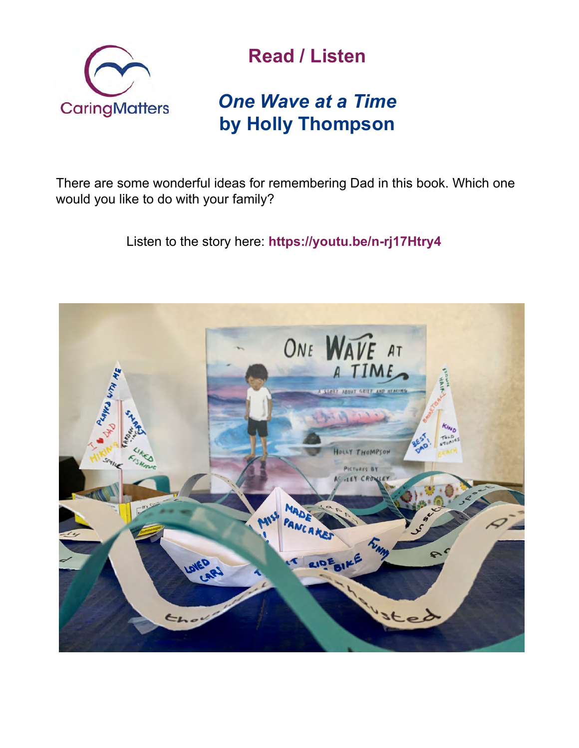

# **Read / Listen**

# *[One Wave at a Time](https://youtu.be/n-rj17Htry4)*  **by Holly Thompson**

There are some wonderful ideas for remembering Dad in this book. Which one would you like to do with your family?

Listen to the story here: **<https://youtu.be/n-rj17Htry4>**

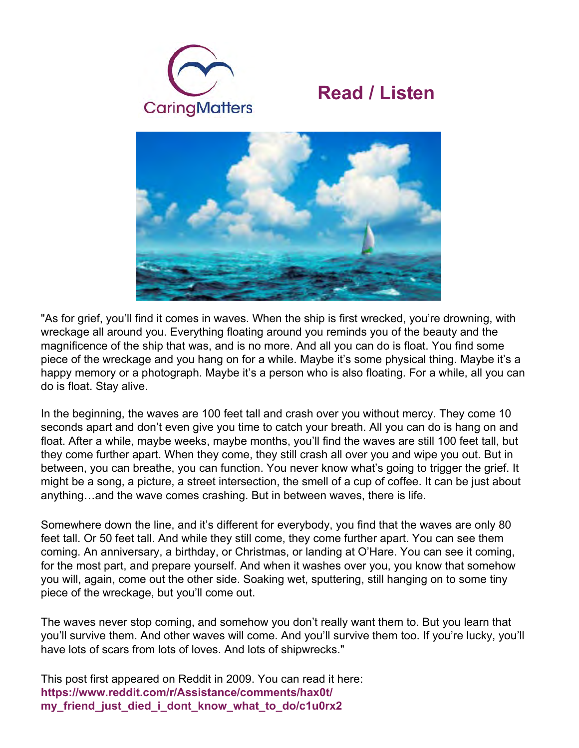





"As for grief, you'll find it comes in waves. When the ship is first wrecked, you're drowning, with wreckage all around you. Everything floating around you reminds you of the beauty and the magnificence of the ship that was, and is no more. And all you can do is float. You find some piece of the wreckage and you hang on for a while. Maybe it's some physical thing. Maybe it's a happy memory or a photograph. Maybe it's a person who is also floating. For a while, all you can do is float. Stay alive.

In the beginning, the waves are 100 feet tall and crash over you without mercy. They come 10 seconds apart and don't even give you time to catch your breath. All you can do is hang on and float. After a while, maybe weeks, maybe months, you'll find the waves are still 100 feet tall, but they come further apart. When they come, they still crash all over you and wipe you out. But in between, you can breathe, you can function. You never know what's going to trigger the grief. It might be a song, a picture, a street intersection, the smell of a cup of coffee. It can be just about anything…and the wave comes crashing. But in between waves, there is life.

Somewhere down the line, and it's different for everybody, you find that the waves are only 80 feet tall. Or 50 feet tall. And while they still come, they come further apart. You can see them coming. An anniversary, a birthday, or Christmas, or landing at O'Hare. You can see it coming, for the most part, and prepare yourself. And when it washes over you, you know that somehow you will, again, come out the other side. Soaking wet, sputtering, still hanging on to some tiny piece of the wreckage, but you'll come out.

The waves never stop coming, and somehow you don't really want them to. But you learn that you'll survive them. And other waves will come. And you'll survive them too. If you're lucky, you'll have lots of scars from lots of loves. And lots of shipwrecks."

[This post first appeared on Reddit in 2009. You can read it here:](https://
www.reddit.com/r/Assistance/comments/hax0t/
my_friend_just_died_i_dont_know_what_to_do/c1u0rx2)  **https://www.reddit.com/r/Assistance/comments/hax0t/ my\_friend\_just\_died\_i\_dont\_know\_what\_to\_do/c1u0rx2**